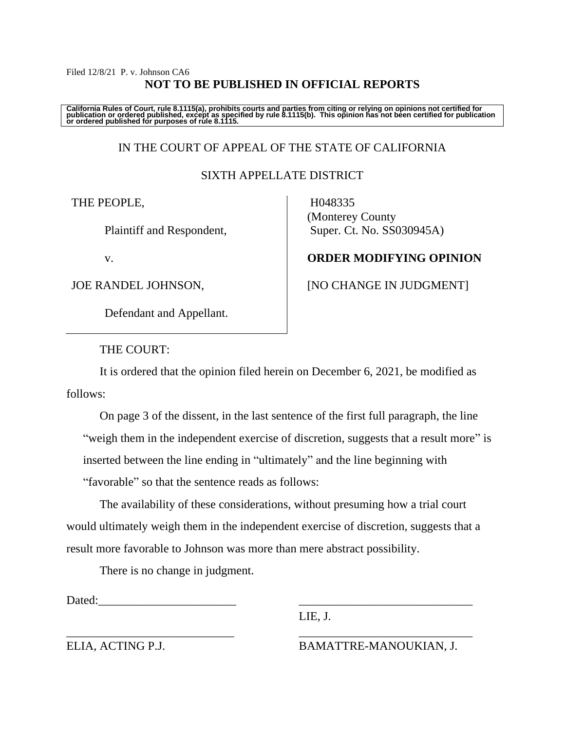# Filed 12/8/21 P. v. Johnson CA6 **NOT TO BE PUBLISHED IN OFFICIAL REPORTS**

California Rules of Court, rule 8.1115(a), prohibits courts and parties from citing or relying on opinions not certified for<br>publication or ordered published, except as specified by rule 8.1115(b). This opinion has not be

# IN THE COURT OF APPEAL OF THE STATE OF CALIFORNIA

# SIXTH APPELLATE DISTRICT

THE PEOPLE,

Plaintiff and Respondent,

v.

JOE RANDEL JOHNSON,

Defendant and Appellant.

 H048335 (Monterey County Super. Ct. No. SS030945A)

# **ORDER MODIFYING OPINION**

[NO CHANGE IN JUDGMENT]

THE COURT:

It is ordered that the opinion filed herein on December 6, 2021, be modified as follows:

On page 3 of the dissent, in the last sentence of the first full paragraph, the line "weigh them in the independent exercise of discretion, suggests that a result more" is inserted between the line ending in "ultimately" and the line beginning with "favorable" so that the sentence reads as follows:

The availability of these considerations, without presuming how a trial court would ultimately weigh them in the independent exercise of discretion, suggests that a result more favorable to Johnson was more than mere abstract possibility.

\_\_\_\_\_\_\_\_\_\_\_\_\_\_\_\_\_\_\_\_\_\_\_\_\_\_\_\_ \_\_\_\_\_\_\_\_\_\_\_\_\_\_\_\_\_\_\_\_\_\_\_\_\_\_\_\_\_

There is no change in judgment.

Dated:

LIE, J.

ELIA, ACTING P.J. BAMATTRE-MANOUKIAN, J.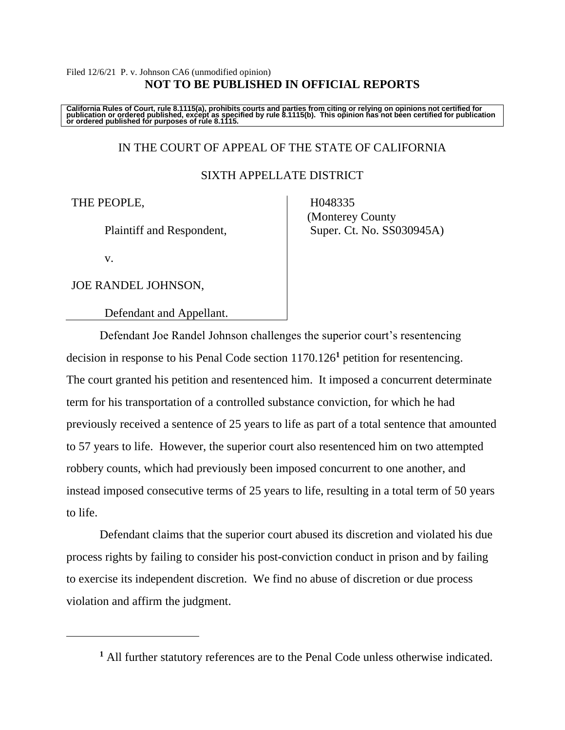### Filed 12/6/21 P. v. Johnson CA6 (unmodified opinion) **NOT TO BE PUBLISHED IN OFFICIAL REPORTS**

California Rules of Court, rule 8.1115(a), prohibits courts and parties from citing or relying on opinions not certified for<br>publication or ordered published, except as specified by rule 8.1115(b). This opinion has not be

# IN THE COURT OF APPEAL OF THE STATE OF CALIFORNIA

#### SIXTH APPELLATE DISTRICT

#### THE PEOPLE,

Plaintiff and Respondent,

 H048335 (Monterey County Super. Ct. No. SS030945A)

v.

JOE RANDEL JOHNSON,

Defendant and Appellant.

Defendant Joe Randel Johnson challenges the superior court's resentencing decision in response to his Penal Code section 1170.126**<sup>1</sup>** petition for resentencing. The court granted his petition and resentenced him. It imposed a concurrent determinate term for his transportation of a controlled substance conviction, for which he had previously received a sentence of 25 years to life as part of a total sentence that amounted to 57 years to life. However, the superior court also resentenced him on two attempted robbery counts, which had previously been imposed concurrent to one another, and instead imposed consecutive terms of 25 years to life, resulting in a total term of 50 years to life.

Defendant claims that the superior court abused its discretion and violated his due process rights by failing to consider his post-conviction conduct in prison and by failing to exercise its independent discretion. We find no abuse of discretion or due process violation and affirm the judgment.

**<sup>1</sup>** All further statutory references are to the Penal Code unless otherwise indicated.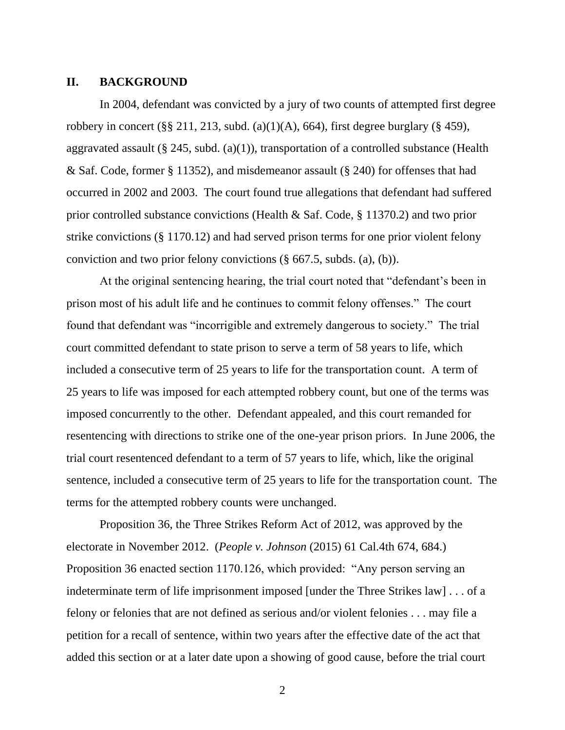# **II. BACKGROUND**

In 2004, defendant was convicted by a jury of two counts of attempted first degree robbery in concert (§§ 211, 213, subd. (a)(1)(A), 664), first degree burglary (§ 459), aggravated assault (§ 245, subd.  $(a)(1)$ ), transportation of a controlled substance (Health & Saf. Code, former § 11352), and misdemeanor assault (§ 240) for offenses that had occurred in 2002 and 2003. The court found true allegations that defendant had suffered prior controlled substance convictions (Health & Saf. Code, § 11370.2) and two prior strike convictions (§ 1170.12) and had served prison terms for one prior violent felony conviction and two prior felony convictions (§ 667.5, subds. (a), (b)).

At the original sentencing hearing, the trial court noted that "defendant's been in prison most of his adult life and he continues to commit felony offenses." The court found that defendant was "incorrigible and extremely dangerous to society." The trial court committed defendant to state prison to serve a term of 58 years to life, which included a consecutive term of 25 years to life for the transportation count. A term of 25 years to life was imposed for each attempted robbery count, but one of the terms was imposed concurrently to the other. Defendant appealed, and this court remanded for resentencing with directions to strike one of the one-year prison priors. In June 2006, the trial court resentenced defendant to a term of 57 years to life, which, like the original sentence, included a consecutive term of 25 years to life for the transportation count. The terms for the attempted robbery counts were unchanged.

Proposition 36, the Three Strikes Reform Act of 2012, was approved by the electorate in November 2012. (*People v. Johnson* (2015) 61 Cal.4th 674, 684.) Proposition 36 enacted section 1170.126, which provided: "Any person serving an indeterminate term of life imprisonment imposed [under the Three Strikes law] . . . of a felony or felonies that are not defined as serious and/or violent felonies . . . may file a petition for a recall of sentence, within two years after the effective date of the act that added this section or at a later date upon a showing of good cause, before the trial court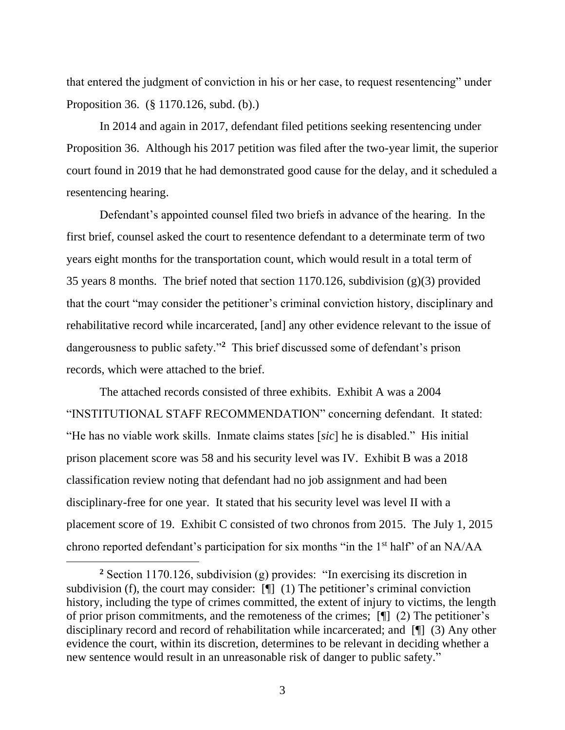that entered the judgment of conviction in his or her case, to request resentencing" under Proposition 36. (§ 1170.126, subd. (b).)

In 2014 and again in 2017, defendant filed petitions seeking resentencing under Proposition 36. Although his 2017 petition was filed after the two-year limit, the superior court found in 2019 that he had demonstrated good cause for the delay, and it scheduled a resentencing hearing.

Defendant's appointed counsel filed two briefs in advance of the hearing. In the first brief, counsel asked the court to resentence defendant to a determinate term of two years eight months for the transportation count, which would result in a total term of 35 years 8 months. The brief noted that section 1170.126, subdivision (g)(3) provided that the court "may consider the petitioner's criminal conviction history, disciplinary and rehabilitative record while incarcerated, [and] any other evidence relevant to the issue of dangerousness to public safety."**<sup>2</sup>** This brief discussed some of defendant's prison records, which were attached to the brief.

The attached records consisted of three exhibits. Exhibit A was a 2004 "INSTITUTIONAL STAFF RECOMMENDATION" concerning defendant. It stated: "He has no viable work skills. Inmate claims states [*sic*] he is disabled." His initial prison placement score was 58 and his security level was IV. Exhibit B was a 2018 classification review noting that defendant had no job assignment and had been disciplinary-free for one year. It stated that his security level was level II with a placement score of 19. Exhibit C consisted of two chronos from 2015. The July 1, 2015 chrono reported defendant's participation for six months "in the 1st half" of an NA/AA

**<sup>2</sup>** Section 1170.126, subdivision (g) provides: "In exercising its discretion in subdivision (f), the court may consider: [¶] (1) The petitioner's criminal conviction history, including the type of crimes committed, the extent of injury to victims, the length of prior prison commitments, and the remoteness of the crimes; [¶] (2) The petitioner's disciplinary record and record of rehabilitation while incarcerated; and [¶] (3) Any other evidence the court, within its discretion, determines to be relevant in deciding whether a new sentence would result in an unreasonable risk of danger to public safety."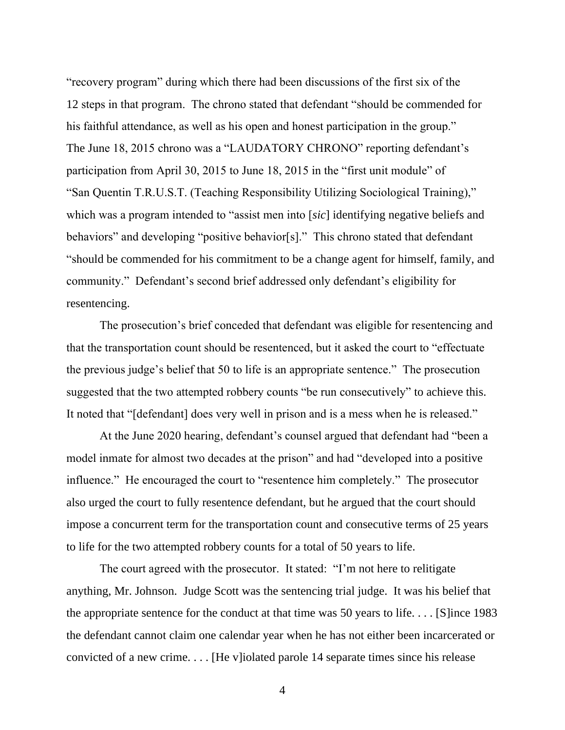"recovery program" during which there had been discussions of the first six of the 12 steps in that program. The chrono stated that defendant "should be commended for his faithful attendance, as well as his open and honest participation in the group." The June 18, 2015 chrono was a "LAUDATORY CHRONO" reporting defendant's participation from April 30, 2015 to June 18, 2015 in the "first unit module" of "San Quentin T.R.U.S.T. (Teaching Responsibility Utilizing Sociological Training)," which was a program intended to "assist men into [*sic*] identifying negative beliefs and behaviors" and developing "positive behavior[s]." This chrono stated that defendant "should be commended for his commitment to be a change agent for himself, family, and community." Defendant's second brief addressed only defendant's eligibility for resentencing.

The prosecution's brief conceded that defendant was eligible for resentencing and that the transportation count should be resentenced, but it asked the court to "effectuate the previous judge's belief that 50 to life is an appropriate sentence." The prosecution suggested that the two attempted robbery counts "be run consecutively" to achieve this. It noted that "[defendant] does very well in prison and is a mess when he is released."

At the June 2020 hearing, defendant's counsel argued that defendant had "been a model inmate for almost two decades at the prison" and had "developed into a positive influence." He encouraged the court to "resentence him completely." The prosecutor also urged the court to fully resentence defendant, but he argued that the court should impose a concurrent term for the transportation count and consecutive terms of 25 years to life for the two attempted robbery counts for a total of 50 years to life.

The court agreed with the prosecutor. It stated: "I'm not here to relitigate anything, Mr. Johnson. Judge Scott was the sentencing trial judge. It was his belief that the appropriate sentence for the conduct at that time was 50 years to life...  $\lceil S \rceil$  ince 1983 the defendant cannot claim one calendar year when he has not either been incarcerated or convicted of a new crime. . . . [He v]iolated parole 14 separate times since his release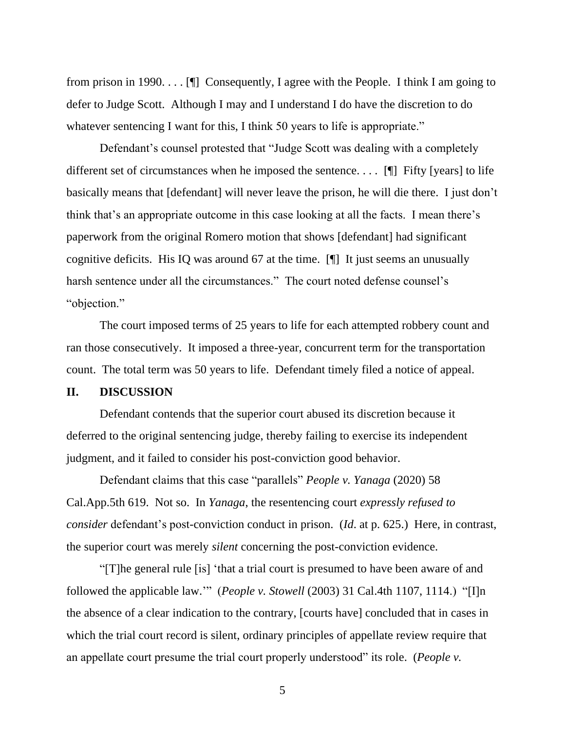from prison in 1990.  $\ldots$  [ $\parallel$ ] Consequently, I agree with the People. I think I am going to defer to Judge Scott. Although I may and I understand I do have the discretion to do whatever sentencing I want for this, I think 50 years to life is appropriate."

Defendant's counsel protested that "Judge Scott was dealing with a completely different set of circumstances when he imposed the sentence. . . . [¶] Fifty [years] to life basically means that [defendant] will never leave the prison, he will die there. I just don't think that's an appropriate outcome in this case looking at all the facts. I mean there's paperwork from the original Romero motion that shows [defendant] had significant cognitive deficits. His IQ was around 67 at the time. [¶] It just seems an unusually harsh sentence under all the circumstances." The court noted defense counsel's "objection."

The court imposed terms of 25 years to life for each attempted robbery count and ran those consecutively. It imposed a three-year, concurrent term for the transportation count. The total term was 50 years to life. Defendant timely filed a notice of appeal.

#### **II. DISCUSSION**

Defendant contends that the superior court abused its discretion because it deferred to the original sentencing judge, thereby failing to exercise its independent judgment, and it failed to consider his post-conviction good behavior.

Defendant claims that this case "parallels" *People v. Yanaga* (2020) 58 Cal.App.5th 619. Not so. In *Yanaga*, the resentencing court *expressly refused to consider* defendant's post-conviction conduct in prison. (*Id*. at p. 625.) Here, in contrast, the superior court was merely *silent* concerning the post-conviction evidence.

"[T]he general rule [is] 'that a trial court is presumed to have been aware of and followed the applicable law.'" (*People v. Stowell* (2003) 31 Cal.4th 1107, 1114.) "[I]n the absence of a clear indication to the contrary, [courts have] concluded that in cases in which the trial court record is silent, ordinary principles of appellate review require that an appellate court presume the trial court properly understood" its role. (*People v.*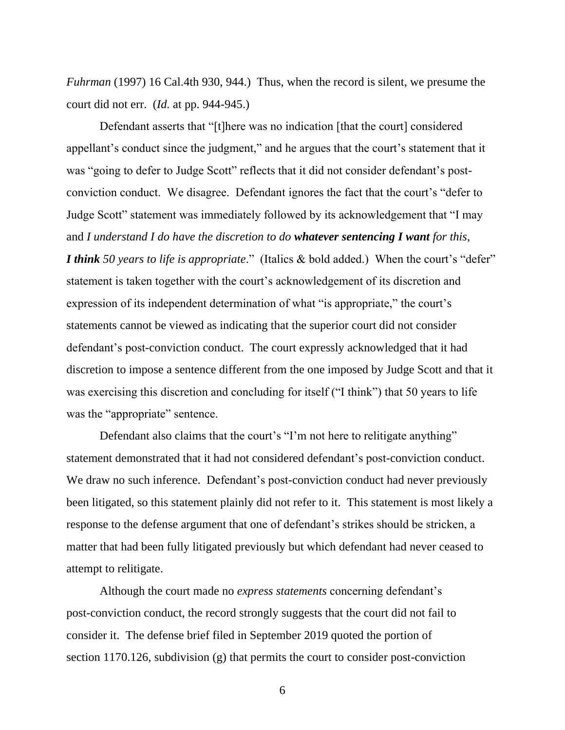*Fuhrman* (1997) 16 Cal.4th 930, 944.) Thus, when the record is silent, we presume the court did not err. (*Id.* at pp. 944-945.)

Defendant asserts that "[t]here was no indication [that the court] considered appellant's conduct since the judgment," and he argues that the court's statement that it was "going to defer to Judge Scott" reflects that it did not consider defendant's postconviction conduct. We disagree. Defendant ignores the fact that the court's "defer to Judge Scott" statement was immediately followed by its acknowledgement that "I may and *I understand I do have the discretion to do whatever sentencing I want for this*, *I think 50 years to life is appropriate*." (Italics & bold added.) When the court's "defer" statement is taken together with the court's acknowledgement of its discretion and expression of its independent determination of what "is appropriate," the court's statements cannot be viewed as indicating that the superior court did not consider defendant's post-conviction conduct. The court expressly acknowledged that it had discretion to impose a sentence different from the one imposed by Judge Scott and that it was exercising this discretion and concluding for itself ("I think") that 50 years to life was the "appropriate" sentence.

Defendant also claims that the court's "I'm not here to relitigate anything" statement demonstrated that it had not considered defendant's post-conviction conduct. We draw no such inference. Defendant's post-conviction conduct had never previously been litigated, so this statement plainly did not refer to it. This statement is most likely a response to the defense argument that one of defendant's strikes should be stricken, a matter that had been fully litigated previously but which defendant had never ceased to attempt to relitigate.

Although the court made no *express statements* concerning defendant's post-conviction conduct, the record strongly suggests that the court did not fail to consider it. The defense brief filed in September 2019 quoted the portion of section 1170.126, subdivision (g) that permits the court to consider post-conviction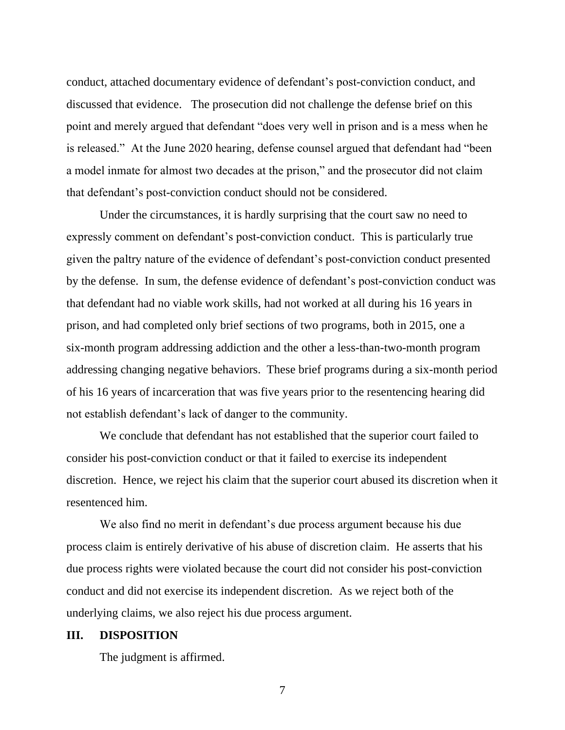conduct, attached documentary evidence of defendant's post-conviction conduct, and discussed that evidence. The prosecution did not challenge the defense brief on this point and merely argued that defendant "does very well in prison and is a mess when he is released." At the June 2020 hearing, defense counsel argued that defendant had "been a model inmate for almost two decades at the prison," and the prosecutor did not claim that defendant's post-conviction conduct should not be considered.

Under the circumstances, it is hardly surprising that the court saw no need to expressly comment on defendant's post-conviction conduct. This is particularly true given the paltry nature of the evidence of defendant's post-conviction conduct presented by the defense. In sum, the defense evidence of defendant's post-conviction conduct was that defendant had no viable work skills, had not worked at all during his 16 years in prison, and had completed only brief sections of two programs, both in 2015, one a six-month program addressing addiction and the other a less-than-two-month program addressing changing negative behaviors. These brief programs during a six-month period of his 16 years of incarceration that was five years prior to the resentencing hearing did not establish defendant's lack of danger to the community.

We conclude that defendant has not established that the superior court failed to consider his post-conviction conduct or that it failed to exercise its independent discretion. Hence, we reject his claim that the superior court abused its discretion when it resentenced him.

We also find no merit in defendant's due process argument because his due process claim is entirely derivative of his abuse of discretion claim. He asserts that his due process rights were violated because the court did not consider his post-conviction conduct and did not exercise its independent discretion. As we reject both of the underlying claims, we also reject his due process argument.

#### **III. DISPOSITION**

The judgment is affirmed.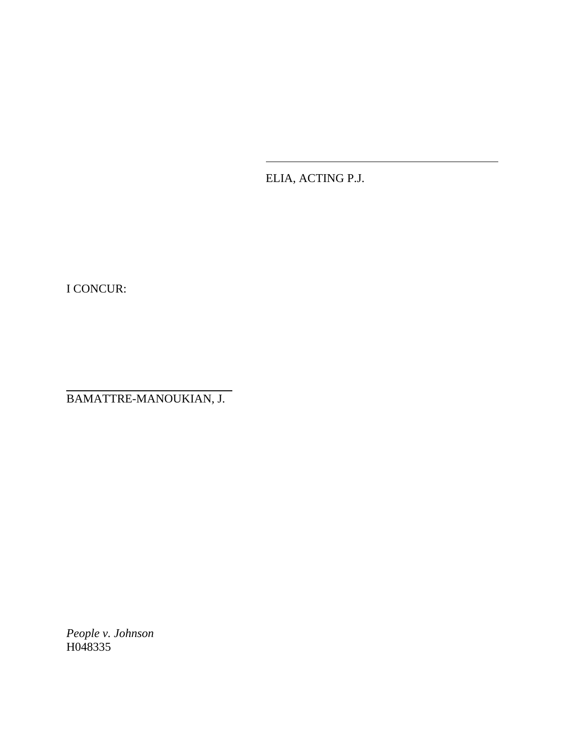ELIA, ACTING P.J.

I CONCUR:

BAMATTRE-MANOUKIAN, J.

*People v. Johnson* H048335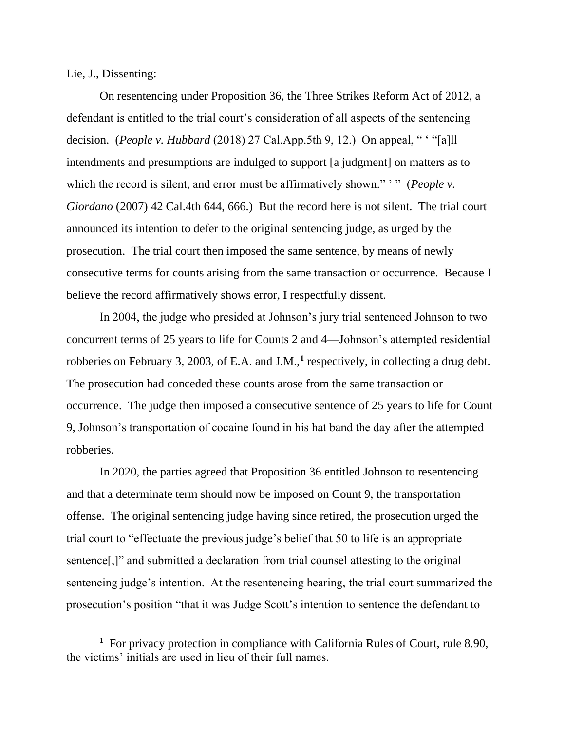Lie, J., Dissenting:

On resentencing under Proposition 36, the Three Strikes Reform Act of 2012, a defendant is entitled to the trial court's consideration of all aspects of the sentencing decision. (*People v. Hubbard* (2018) 27 Cal.App.5th 9, 12.) On appeal, " ' "[a]ll intendments and presumptions are indulged to support [a judgment] on matters as to which the record is silent, and error must be affirmatively shown."" " (*People v. Giordano* (2007) 42 Cal.4th 644, 666.) But the record here is not silent. The trial court announced its intention to defer to the original sentencing judge, as urged by the prosecution. The trial court then imposed the same sentence, by means of newly consecutive terms for counts arising from the same transaction or occurrence. Because I believe the record affirmatively shows error, I respectfully dissent.

In 2004, the judge who presided at Johnson's jury trial sentenced Johnson to two concurrent terms of 25 years to life for Counts 2 and 4—Johnson's attempted residential robberies on February 3, 2003, of E.A. and J.M.,**<sup>1</sup>** respectively, in collecting a drug debt. The prosecution had conceded these counts arose from the same transaction or occurrence. The judge then imposed a consecutive sentence of 25 years to life for Count 9, Johnson's transportation of cocaine found in his hat band the day after the attempted robberies.

In 2020, the parties agreed that Proposition 36 entitled Johnson to resentencing and that a determinate term should now be imposed on Count 9, the transportation offense. The original sentencing judge having since retired, the prosecution urged the trial court to "effectuate the previous judge's belief that 50 to life is an appropriate sentence[,]" and submitted a declaration from trial counsel attesting to the original sentencing judge's intention. At the resentencing hearing, the trial court summarized the prosecution's position "that it was Judge Scott's intention to sentence the defendant to

**<sup>1</sup>** For privacy protection in compliance with California Rules of Court, rule 8.90, the victims' initials are used in lieu of their full names.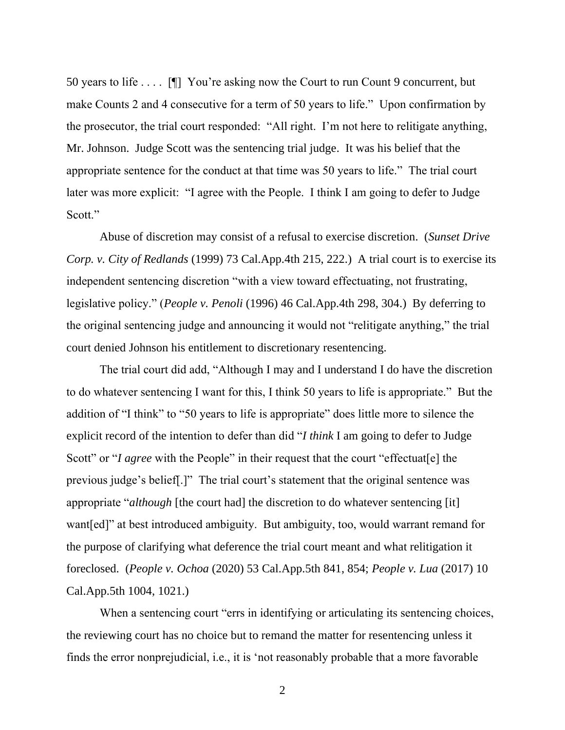50 years to life . . . . [¶] You're asking now the Court to run Count 9 concurrent, but make Counts 2 and 4 consecutive for a term of 50 years to life." Upon confirmation by the prosecutor, the trial court responded: "All right. I'm not here to relitigate anything, Mr. Johnson. Judge Scott was the sentencing trial judge. It was his belief that the appropriate sentence for the conduct at that time was 50 years to life." The trial court later was more explicit: "I agree with the People. I think I am going to defer to Judge Scott."

Abuse of discretion may consist of a refusal to exercise discretion. (*Sunset Drive Corp. v. City of Redlands* (1999) 73 Cal.App.4th 215, 222.) A trial court is to exercise its independent sentencing discretion "with a view toward effectuating, not frustrating, legislative policy." (*People v. Penoli* (1996) 46 Cal.App.4th 298, 304.) By deferring to the original sentencing judge and announcing it would not "relitigate anything," the trial court denied Johnson his entitlement to discretionary resentencing.

The trial court did add, "Although I may and I understand I do have the discretion to do whatever sentencing I want for this, I think 50 years to life is appropriate." But the addition of "I think" to "50 years to life is appropriate" does little more to silence the explicit record of the intention to defer than did "*I think* I am going to defer to Judge Scott" or "*I agree* with the People" in their request that the court "effectuat [e] the previous judge's belief[.]" The trial court's statement that the original sentence was appropriate "*although* [the court had] the discretion to do whatever sentencing [it] want[ed]" at best introduced ambiguity. But ambiguity, too, would warrant remand for the purpose of clarifying what deference the trial court meant and what relitigation it foreclosed. (*People v. Ochoa* (2020) 53 Cal.App.5th 841, 854; *People v. Lua* (2017) 10 Cal.App.5th 1004, 1021.)

When a sentencing court "errs in identifying or articulating its sentencing choices, the reviewing court has no choice but to remand the matter for resentencing unless it finds the error nonprejudicial, i.e., it is 'not reasonably probable that a more favorable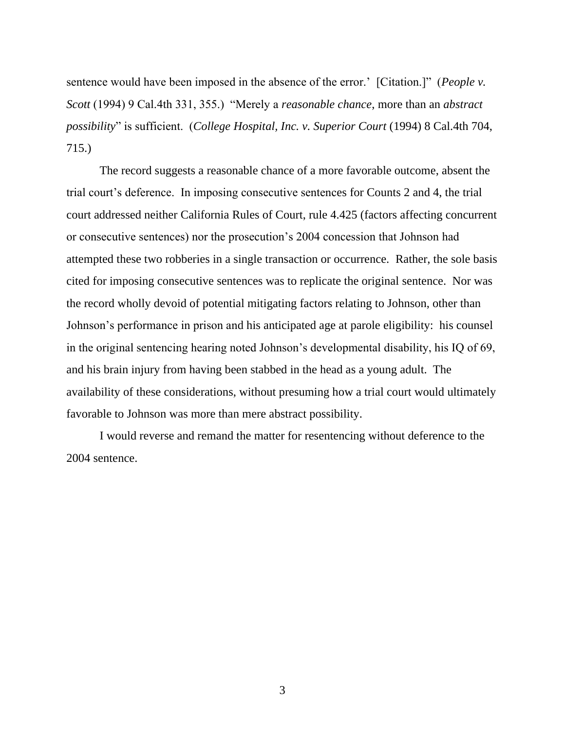sentence would have been imposed in the absence of the error.' [Citation.]" (*People v. Scott* (1994) 9 Cal.4th 331, 355.) "Merely a *reasonable chance*, more than an *abstract possibility*" is sufficient. (*College Hospital, Inc. v. Superior Court* (1994) 8 Cal.4th 704, 715.)

The record suggests a reasonable chance of a more favorable outcome, absent the trial court's deference. In imposing consecutive sentences for Counts 2 and 4, the trial court addressed neither California Rules of Court, rule 4.425 (factors affecting concurrent or consecutive sentences) nor the prosecution's 2004 concession that Johnson had attempted these two robberies in a single transaction or occurrence. Rather, the sole basis cited for imposing consecutive sentences was to replicate the original sentence. Nor was the record wholly devoid of potential mitigating factors relating to Johnson, other than Johnson's performance in prison and his anticipated age at parole eligibility: his counsel in the original sentencing hearing noted Johnson's developmental disability, his IQ of 69, and his brain injury from having been stabbed in the head as a young adult. The availability of these considerations, without presuming how a trial court would ultimately favorable to Johnson was more than mere abstract possibility.

I would reverse and remand the matter for resentencing without deference to the 2004 sentence.